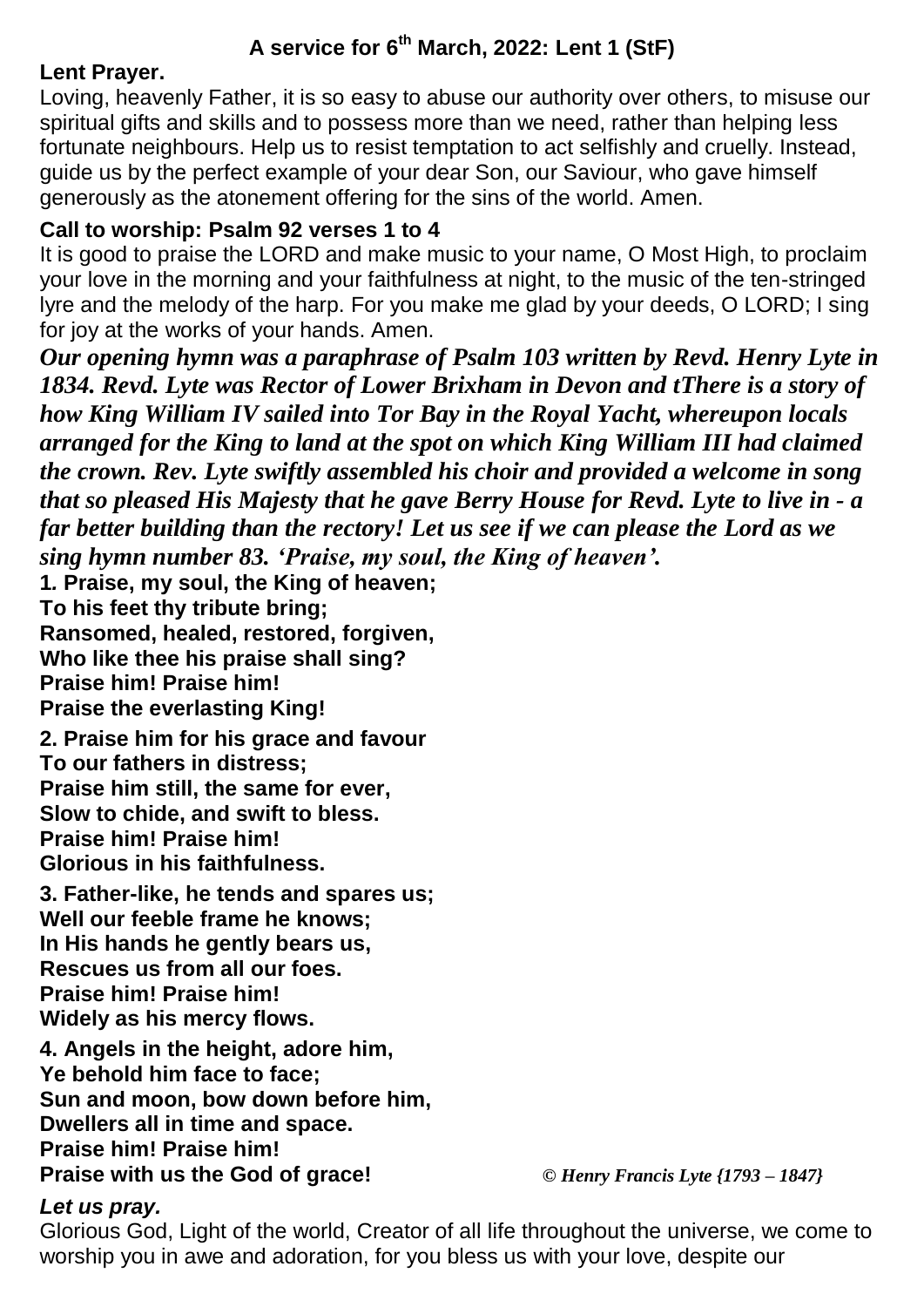# **A service for 6th March, 2022: Lent 1 (StF)**

### **Lent Prayer.**

Loving, heavenly Father, it is so easy to abuse our authority over others, to misuse our spiritual gifts and skills and to possess more than we need, rather than helping less fortunate neighbours. Help us to resist temptation to act selfishly and cruelly. Instead, guide us by the perfect example of your dear Son, our Saviour, who gave himself generously as the atonement offering for the sins of the world. Amen.

### **Call to worship: Psalm 92 verses 1 to 4**

It is good to praise the LORD and make music to your name, O Most High, to proclaim your love in the morning and your faithfulness at night, to the music of the ten-stringed lyre and the melody of the harp. For you make me glad by your deeds, O LORD; I sing for joy at the works of your hands. Amen.

*Our opening hymn was a paraphrase of Psalm 103 written by Revd. Henry Lyte in 1834. Revd. Lyte was Rector of Lower Brixham in Devon and tThere is a story of how King William IV sailed into Tor Bay in the Royal Yacht, whereupon locals arranged for the King to land at the spot on which King William III had claimed the crown. Rev. Lyte swiftly assembled his choir and provided a welcome in song that so pleased His Majesty that he gave Berry House for Revd. Lyte to live in - a far better building than the rectory! Let us see if we can please the Lord as we sing hymn number 83. 'Praise, my soul, the King of heaven'.*

**1***.* **Praise, my soul, the King of heaven;**

**To his feet thy tribute bring;**

**Ransomed, healed, restored, forgiven,**

**Who like thee his praise shall sing?**

**Praise him! Praise him!** 

**Praise the everlasting King!**

**2. Praise him for his grace and favour To our fathers in distress; Praise him still, the same for ever, Slow to chide, and swift to bless. Praise him! Praise him! Glorious in his faithfulness.**

**3. Father-like, he tends and spares us; Well our feeble frame he knows; In His hands he gently bears us, Rescues us from all our foes. Praise him! Praise him! Widely as his mercy flows.**

**4. Angels in the height, adore him, Ye behold him face to face; Sun and moon, bow down before him, Dwellers all in time and space. Praise him! Praise him! Praise with us the God of grace!** *© Henry Francis Lyte {1793 – 1847}*

# *Let us pray.*

Glorious God, Light of the world, Creator of all life throughout the universe, we come to worship you in awe and adoration, for you bless us with your love, despite our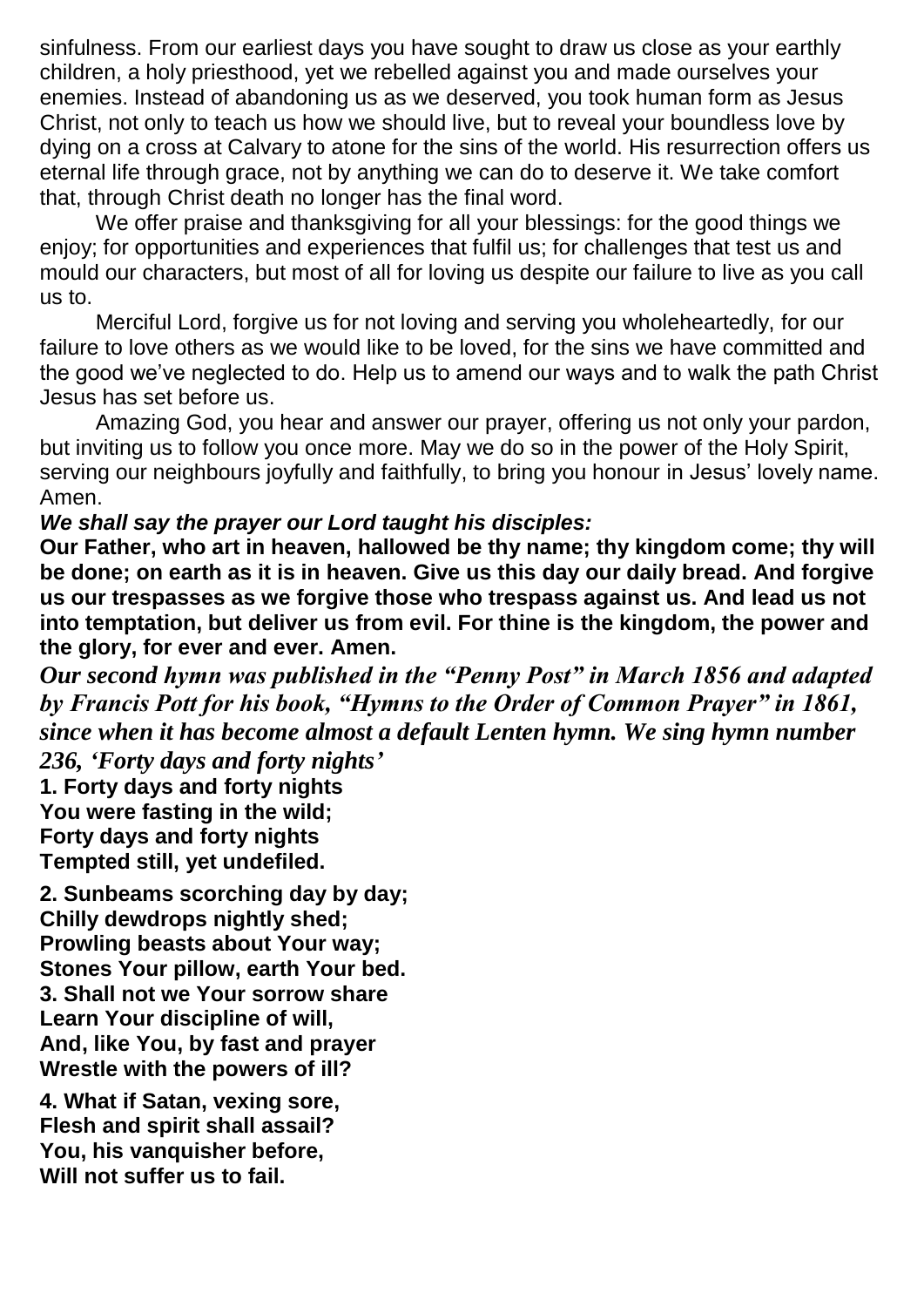sinfulness. From our earliest days you have sought to draw us close as your earthly children, a holy priesthood, yet we rebelled against you and made ourselves your enemies. Instead of abandoning us as we deserved, you took human form as Jesus Christ, not only to teach us how we should live, but to reveal your boundless love by dying on a cross at Calvary to atone for the sins of the world. His resurrection offers us eternal life through grace, not by anything we can do to deserve it. We take comfort that, through Christ death no longer has the final word.

We offer praise and thanksgiving for all your blessings: for the good things we enjoy; for opportunities and experiences that fulfil us; for challenges that test us and mould our characters, but most of all for loving us despite our failure to live as you call us to.

Merciful Lord, forgive us for not loving and serving you wholeheartedly, for our failure to love others as we would like to be loved, for the sins we have committed and the good we've neglected to do. Help us to amend our ways and to walk the path Christ Jesus has set before us.

Amazing God, you hear and answer our prayer, offering us not only your pardon, but inviting us to follow you once more. May we do so in the power of the Holy Spirit, serving our neighbours joyfully and faithfully, to bring you honour in Jesus' lovely name. Amen.

### *We shall say the prayer our Lord taught his disciples:*

**Our Father, who art in heaven, hallowed be thy name; thy kingdom come; thy will be done; on earth as it is in heaven. Give us this day our daily bread. And forgive us our trespasses as we forgive those who trespass against us. And lead us not into temptation, but deliver us from evil. For thine is the kingdom, the power and the glory, for ever and ever. Amen.**

*Our second hymn was published in the "Penny Post" in March 1856 and adapted by Francis Pott for his book, "Hymns to the Order of Common Prayer" in 1861, since when it has become almost a default Lenten hymn. We sing hymn number* 

*236, 'Forty days and forty nights'* **1. Forty days and forty nights You were fasting in the wild; Forty days and forty nights Tempted still, yet undefiled.**

**2. Sunbeams scorching day by day; Chilly dewdrops nightly shed; Prowling beasts about Your way; Stones Your pillow, earth Your bed. 3. Shall not we Your sorrow share Learn Your discipline of will, And, like You, by fast and prayer Wrestle with the powers of ill?**

**4. What if Satan, vexing sore, Flesh and spirit shall assail? You, his vanquisher before, Will not suffer us to fail.**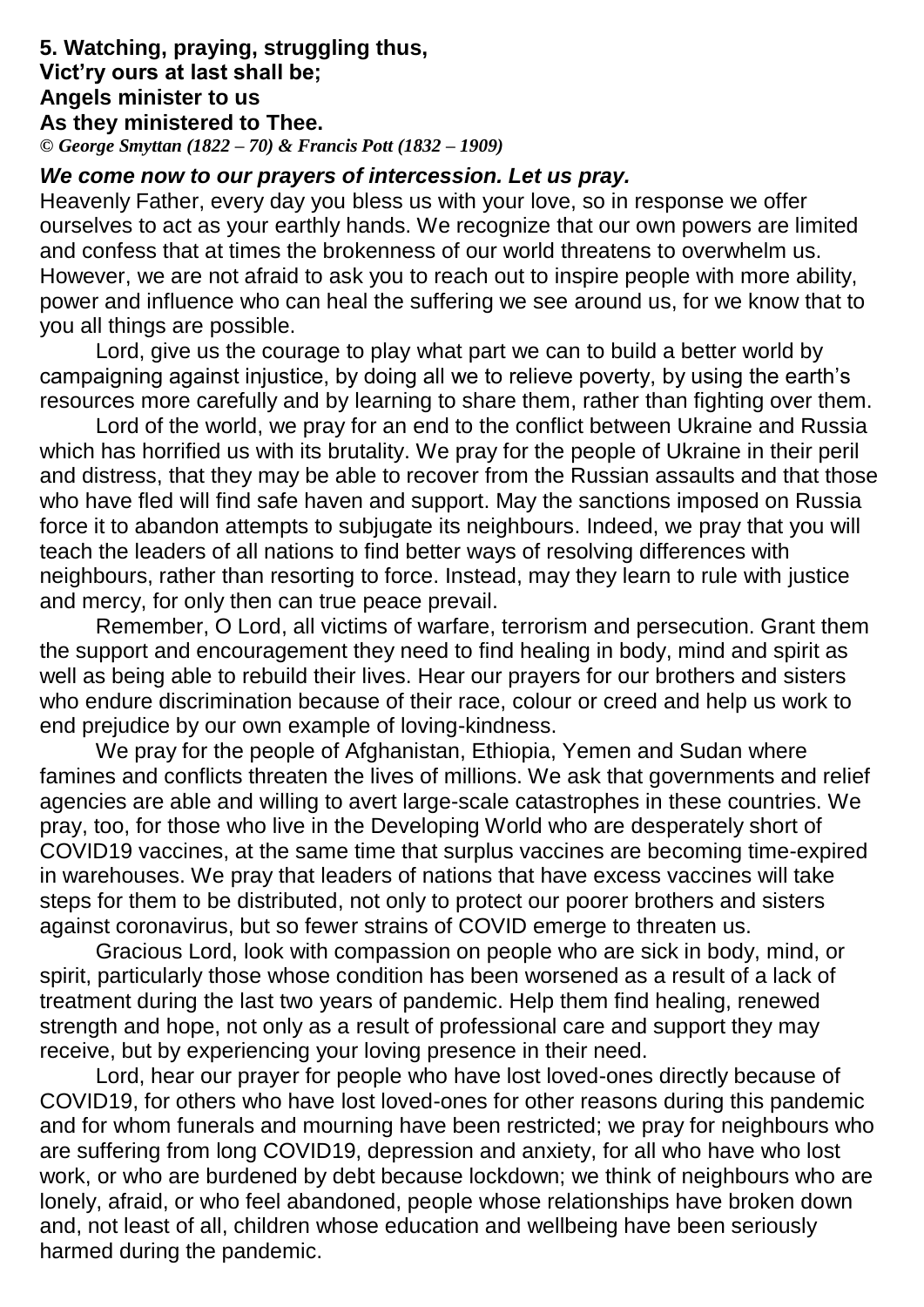### **5. Watching, praying, struggling thus, Vict'ry ours at last shall be; Angels minister to us As they ministered to Thee.**

*© George Smyttan (1822 – 70) & Francis Pott (1832 – 1909)*

# *We come now to our prayers of intercession. Let us pray.*

Heavenly Father, every day you bless us with your love, so in response we offer ourselves to act as your earthly hands. We recognize that our own powers are limited and confess that at times the brokenness of our world threatens to overwhelm us. However, we are not afraid to ask you to reach out to inspire people with more ability, power and influence who can heal the suffering we see around us, for we know that to you all things are possible.

Lord, give us the courage to play what part we can to build a better world by campaigning against injustice, by doing all we to relieve poverty, by using the earth's resources more carefully and by learning to share them, rather than fighting over them.

Lord of the world, we pray for an end to the conflict between Ukraine and Russia which has horrified us with its brutality. We pray for the people of Ukraine in their peril and distress, that they may be able to recover from the Russian assaults and that those who have fled will find safe haven and support. May the sanctions imposed on Russia force it to abandon attempts to subjugate its neighbours. Indeed, we pray that you will teach the leaders of all nations to find better ways of resolving differences with neighbours, rather than resorting to force. Instead, may they learn to rule with justice and mercy, for only then can true peace prevail.

Remember, O Lord, all victims of warfare, terrorism and persecution. Grant them the support and encouragement they need to find healing in body, mind and spirit as well as being able to rebuild their lives. Hear our prayers for our brothers and sisters who endure discrimination because of their race, colour or creed and help us work to end prejudice by our own example of loving-kindness.

We pray for the people of Afghanistan, Ethiopia, Yemen and Sudan where famines and conflicts threaten the lives of millions. We ask that governments and relief agencies are able and willing to avert large-scale catastrophes in these countries. We pray, too, for those who live in the Developing World who are desperately short of COVID19 vaccines, at the same time that surplus vaccines are becoming time-expired in warehouses. We pray that leaders of nations that have excess vaccines will take steps for them to be distributed, not only to protect our poorer brothers and sisters against coronavirus, but so fewer strains of COVID emerge to threaten us.

Gracious Lord, look with compassion on people who are sick in body, mind, or spirit, particularly those whose condition has been worsened as a result of a lack of treatment during the last two years of pandemic. Help them find healing, renewed strength and hope, not only as a result of professional care and support they may receive, but by experiencing your loving presence in their need.

Lord, hear our prayer for people who have lost loved-ones directly because of COVID19, for others who have lost loved-ones for other reasons during this pandemic and for whom funerals and mourning have been restricted; we pray for neighbours who are suffering from long COVID19, depression and anxiety, for all who have who lost work, or who are burdened by debt because lockdown; we think of neighbours who are lonely, afraid, or who feel abandoned, people whose relationships have broken down and, not least of all, children whose education and wellbeing have been seriously harmed during the pandemic.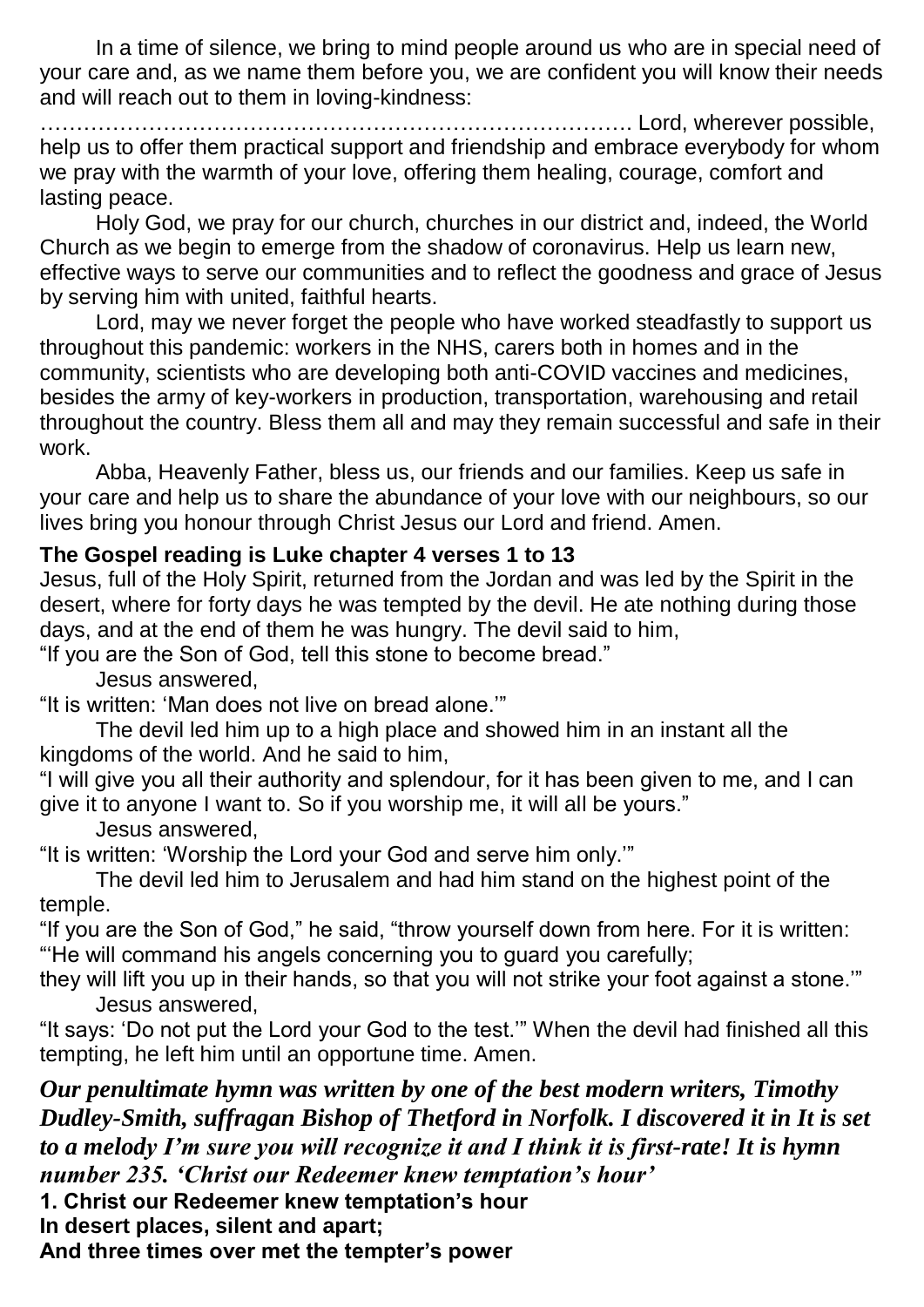In a time of silence, we bring to mind people around us who are in special need of your care and, as we name them before you, we are confident you will know their needs and will reach out to them in loving-kindness:

………………………………………………………………………. Lord, wherever possible, help us to offer them practical support and friendship and embrace everybody for whom we pray with the warmth of your love, offering them healing, courage, comfort and lasting peace.

Holy God, we pray for our church, churches in our district and, indeed, the World Church as we begin to emerge from the shadow of coronavirus. Help us learn new, effective ways to serve our communities and to reflect the goodness and grace of Jesus by serving him with united, faithful hearts.

Lord, may we never forget the people who have worked steadfastly to support us throughout this pandemic: workers in the NHS, carers both in homes and in the community, scientists who are developing both anti-COVID vaccines and medicines, besides the army of key-workers in production, transportation, warehousing and retail throughout the country. Bless them all and may they remain successful and safe in their work.

Abba, Heavenly Father, bless us, our friends and our families. Keep us safe in your care and help us to share the abundance of your love with our neighbours, so our lives bring you honour through Christ Jesus our Lord and friend. Amen.

### **The Gospel reading is Luke chapter 4 verses 1 to 13**

Jesus, full of the Holy Spirit, returned from the Jordan and was led by the Spirit in the desert, where for forty days he was tempted by the devil. He ate nothing during those days, and at the end of them he was hungry. The devil said to him,

"If you are the Son of God, tell this stone to become bread."

Jesus answered,

"It is written: 'Man does not live on bread alone.'"

The devil led him up to a high place and showed him in an instant all the kingdoms of the world. And he said to him,

"I will give you all their authority and splendour, for it has been given to me, and I can give it to anyone I want to. So if you worship me, it will all be yours."

Jesus answered,

"It is written: 'Worship the Lord your God and serve him only.'"

The devil led him to Jerusalem and had him stand on the highest point of the temple.

"If you are the Son of God," he said, "throw yourself down from here. For it is written: "'He will command his angels concerning you to guard you carefully;

they will lift you up in their hands, so that you will not strike your foot against a stone.'" Jesus answered,

"It says: 'Do not put the Lord your God to the test.'" When the devil had finished all this tempting, he left him until an opportune time. Amen.

*Our penultimate hymn was written by one of the best modern writers, Timothy Dudley-Smith, suffragan Bishop of Thetford in Norfolk. I discovered it in It is set to a melody I'm sure you will recognize it and I think it is first-rate! It is hymn number 235. 'Christ our Redeemer knew temptation's hour'* 

**1. Christ our Redeemer knew temptation's hour**

**In desert places, silent and apart;**

**And three times over met the tempter's power**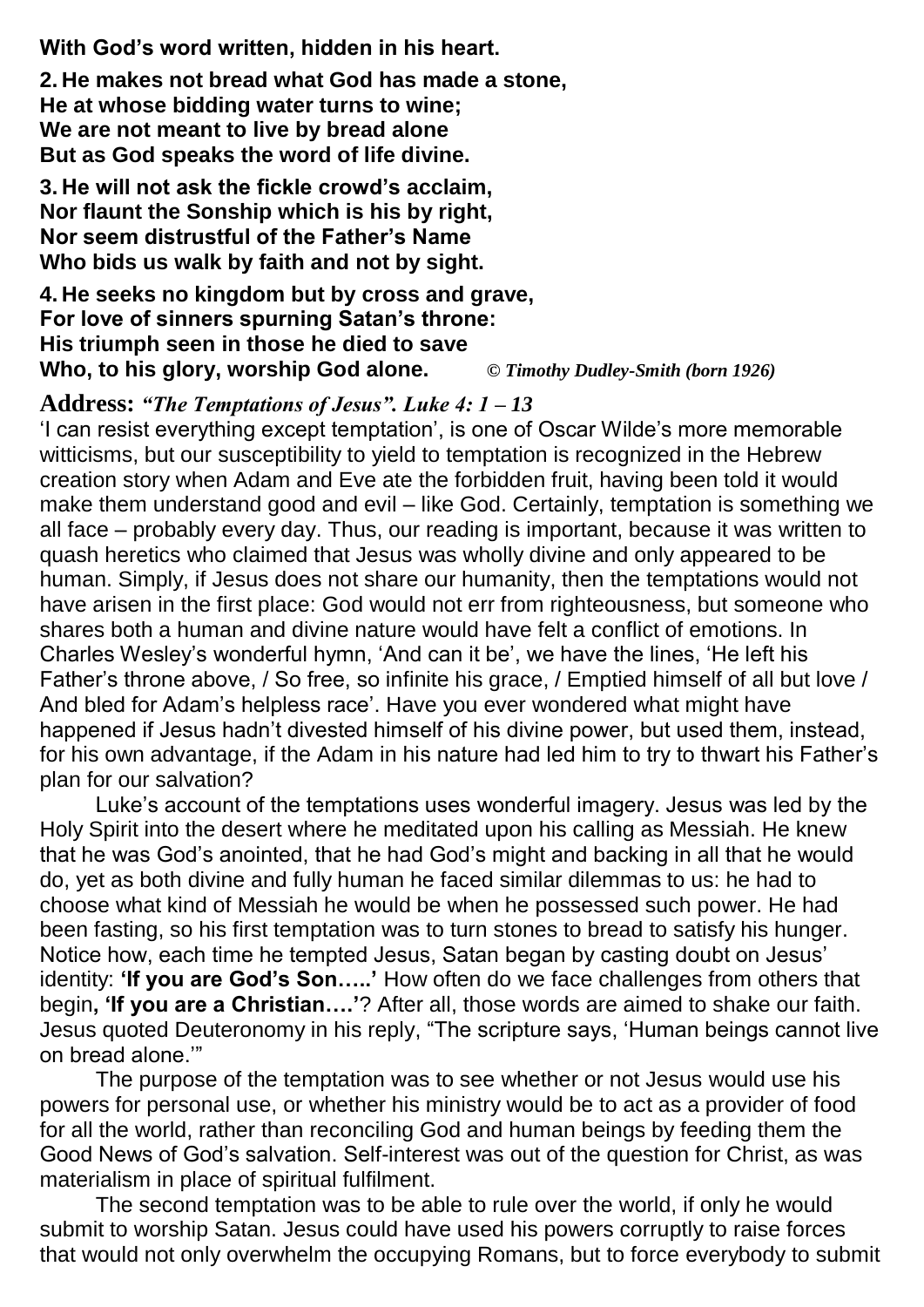**With God's word written, hidden in his heart.**

**2. He makes not bread what God has made a stone, He at whose bidding water turns to wine; We are not meant to live by bread alone But as God speaks the word of life divine.**

**3. He will not ask the fickle crowd's acclaim, Nor flaunt the Sonship which is his by right, Nor seem distrustful of the Father's Name Who bids us walk by faith and not by sight.**

**4. He seeks no kingdom but by cross and grave, For love of sinners spurning Satan's throne: His triumph seen in those he died to save Who, to his glory, worship God alone.** *© Timothy Dudley-Smith (born 1926)*

#### **Address:** *"The Temptations of Jesus". Luke 4: 1 – 13*

'I can resist everything except temptation', is one of Oscar Wilde's more memorable witticisms, but our susceptibility to yield to temptation is recognized in the Hebrew creation story when Adam and Eve ate the forbidden fruit, having been told it would make them understand good and evil – like God. Certainly, temptation is something we all face – probably every day. Thus, our reading is important, because it was written to quash heretics who claimed that Jesus was wholly divine and only appeared to be human. Simply, if Jesus does not share our humanity, then the temptations would not have arisen in the first place: God would not err from righteousness, but someone who shares both a human and divine nature would have felt a conflict of emotions. In Charles Wesley's wonderful hymn, 'And can it be', we have the lines, 'He left his Father's throne above, / So free, so infinite his grace, / Emptied himself of all but love / And bled for Adam's helpless race'. Have you ever wondered what might have happened if Jesus hadn't divested himself of his divine power, but used them, instead, for his own advantage, if the Adam in his nature had led him to try to thwart his Father's plan for our salvation?

Luke's account of the temptations uses wonderful imagery. Jesus was led by the Holy Spirit into the desert where he meditated upon his calling as Messiah. He knew that he was God's anointed, that he had God's might and backing in all that he would do, yet as both divine and fully human he faced similar dilemmas to us: he had to choose what kind of Messiah he would be when he possessed such power. He had been fasting, so his first temptation was to turn stones to bread to satisfy his hunger. Notice how, each time he tempted Jesus, Satan began by casting doubt on Jesus' identity: **'If you are God's Son…..'** How often do we face challenges from others that begin**, 'If you are a Christian….'**? After all, those words are aimed to shake our faith. Jesus quoted Deuteronomy in his reply, "The scripture says, 'Human beings cannot live on bread alone.'"

The purpose of the temptation was to see whether or not Jesus would use his powers for personal use, or whether his ministry would be to act as a provider of food for all the world, rather than reconciling God and human beings by feeding them the Good News of God's salvation. Self-interest was out of the question for Christ, as was materialism in place of spiritual fulfilment.

The second temptation was to be able to rule over the world, if only he would submit to worship Satan. Jesus could have used his powers corruptly to raise forces that would not only overwhelm the occupying Romans, but to force everybody to submit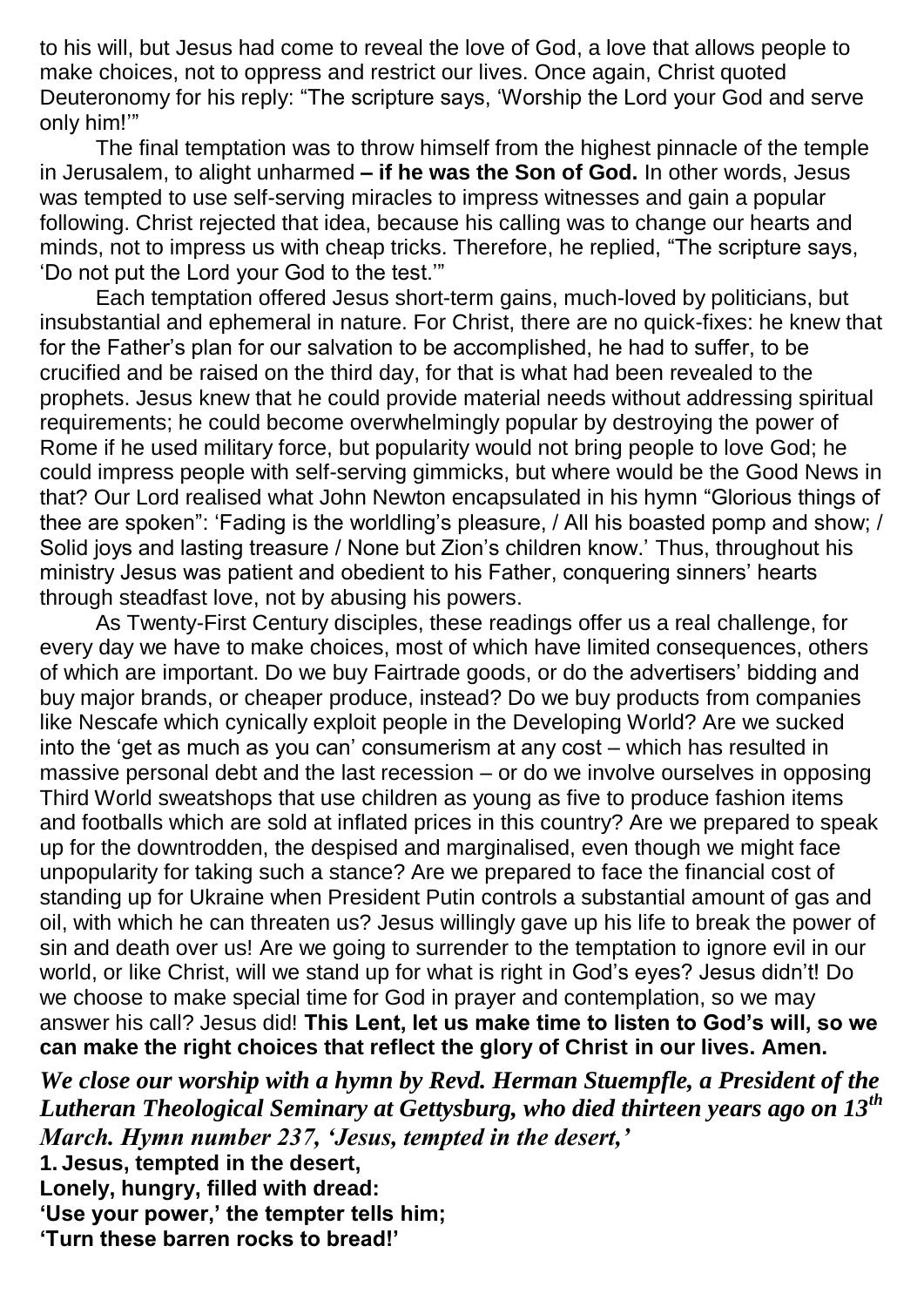to his will, but Jesus had come to reveal the love of God, a love that allows people to make choices, not to oppress and restrict our lives. Once again, Christ quoted Deuteronomy for his reply: "The scripture says, 'Worship the Lord your God and serve only him!'"

The final temptation was to throw himself from the highest pinnacle of the temple in Jerusalem, to alight unharmed **– if he was the Son of God.** In other words, Jesus was tempted to use self-serving miracles to impress witnesses and gain a popular following. Christ rejected that idea, because his calling was to change our hearts and minds, not to impress us with cheap tricks. Therefore, he replied, "The scripture says, 'Do not put the Lord your God to the test.'"

Each temptation offered Jesus short-term gains, much-loved by politicians, but insubstantial and ephemeral in nature. For Christ, there are no quick-fixes: he knew that for the Father's plan for our salvation to be accomplished, he had to suffer, to be crucified and be raised on the third day, for that is what had been revealed to the prophets. Jesus knew that he could provide material needs without addressing spiritual requirements; he could become overwhelmingly popular by destroying the power of Rome if he used military force, but popularity would not bring people to love God; he could impress people with self-serving gimmicks, but where would be the Good News in that? Our Lord realised what John Newton encapsulated in his hymn "Glorious things of thee are spoken": 'Fading is the worldling's pleasure, / All his boasted pomp and show; / Solid joys and lasting treasure / None but Zion's children know.' Thus, throughout his ministry Jesus was patient and obedient to his Father, conquering sinners' hearts through steadfast love, not by abusing his powers.

As Twenty-First Century disciples, these readings offer us a real challenge, for every day we have to make choices, most of which have limited consequences, others of which are important. Do we buy Fairtrade goods, or do the advertisers' bidding and buy major brands, or cheaper produce, instead? Do we buy products from companies like Nescafe which cynically exploit people in the Developing World? Are we sucked into the 'get as much as you can' consumerism at any cost – which has resulted in massive personal debt and the last recession – or do we involve ourselves in opposing Third World sweatshops that use children as young as five to produce fashion items and footballs which are sold at inflated prices in this country? Are we prepared to speak up for the downtrodden, the despised and marginalised, even though we might face unpopularity for taking such a stance? Are we prepared to face the financial cost of standing up for Ukraine when President Putin controls a substantial amount of gas and oil, with which he can threaten us? Jesus willingly gave up his life to break the power of sin and death over us! Are we going to surrender to the temptation to ignore evil in our world, or like Christ, will we stand up for what is right in God's eyes? Jesus didn't! Do we choose to make special time for God in prayer and contemplation, so we may answer his call? Jesus did! **This Lent, let us make time to listen to God's will, so we can make the right choices that reflect the glory of Christ in our lives. Amen.**

*We close our worship with a hymn by Revd. Herman Stuempfle, a President of the Lutheran Theological Seminary at Gettysburg, who died thirteen years ago on 13th March. Hymn number 237, 'Jesus, tempted in the desert,'* **1. Jesus, tempted in the desert,** 

**Lonely, hungry, filled with dread: 'Use your power,' the tempter tells him; 'Turn these barren rocks to bread!'**